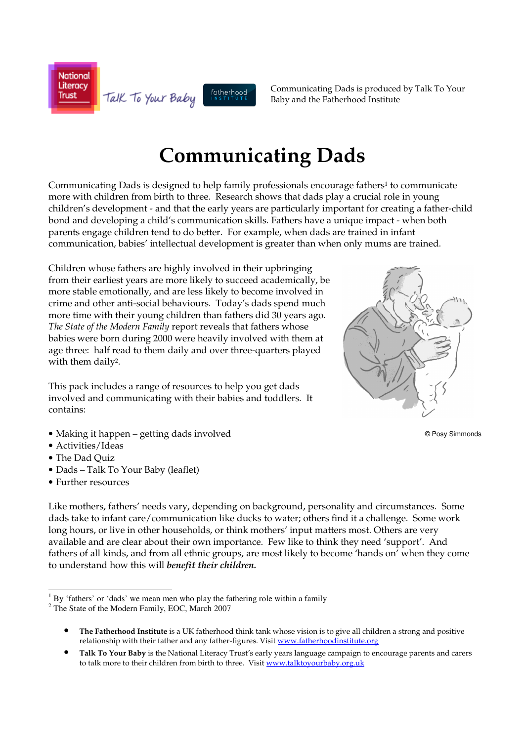**National** Literacy fatherhood Talk To Your Baby **Trust** 

Communicating Dads is produced by Talk To Your Baby and the Fatherhood Institute

# **Communicating Dads**

Communicating Dads is designed to help family professionals encourage fathers<sup>1</sup> to communicate more with children from birth to three. Research shows that dads play a crucial role in young children's development - and that the early years are particularly important for creating a father-child bond and developing a child's communication skills. Fathers have a unique impact - when both parents engage children tend to do better. For example, when dads are trained in infant communication, babies' intellectual development is greater than when only mums are trained.

Children whose fathers are highly involved in their upbringing from their earliest years are more likely to succeed academically, be more stable emotionally, and are less likely to become involved in crime and other anti-social behaviours. Today's dads spend much more time with their young children than fathers did 30 years ago. *The State of the Modern Family* report reveals that fathers whose babies were born during 2000 were heavily involved with them at age three: half read to them daily and over three-quarters played with them daily2.

This pack includes a range of resources to help you get dads involved and communicating with their babies and toddlers. It contains:



- Activities/Ideas
- The Dad Quiz

 $\frac{1}{\sqrt{2}}$ 

- Dads Talk To Your Baby (leaflet)
- Further resources

Like mothers, fathers' needs vary, depending on background, personality and circumstances. Some dads take to infant care/communication like ducks to water; others find it a challenge. Some work long hours, or live in other households, or think mothers' input matters most. Others are very available and are clear about their own importance. Few like to think they need 'support'. And fathers of all kinds, and from all ethnic groups, are most likely to become 'hands on' when they come to understand how this will *benefit their children.* 



© Posy Simmonds

 $<sup>1</sup>$  By 'fathers' or 'dads' we mean men who play the fathering role within a family</sup>

<sup>&</sup>lt;sup>2</sup> The State of the Modern Family, EOC, March 2007

<sup>•</sup> **The Fatherhood Institute** is a UK fatherhood think tank whose vision is to give all children a strong and positive relationship with their father and any father-figures. Visit www.fatherhoodinstitute.org

<sup>•</sup> **Talk To Your Baby** is the National Literacy Trust's early years language campaign to encourage parents and carers to talk more to their children from birth to three. Visit www.talktoyourbaby.org.uk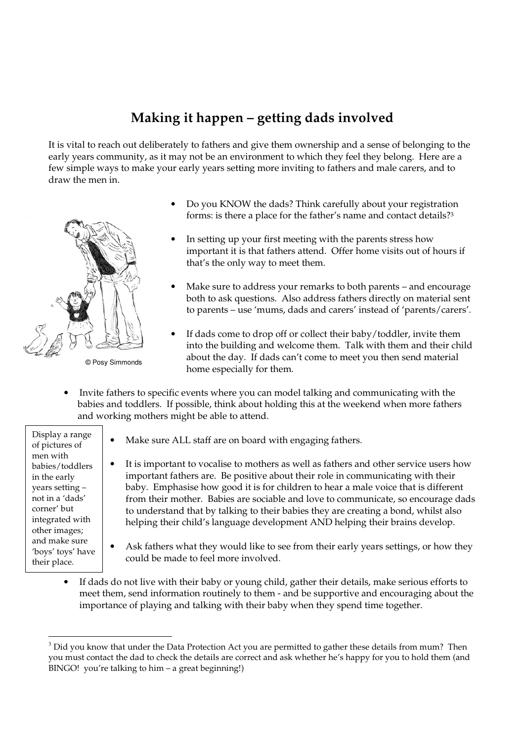# **Making it happen – getting dads involved**

It is vital to reach out deliberately to fathers and give them ownership and a sense of belonging to the early years community, as it may not be an environment to which they feel they belong. Here are a few simple ways to make your early years setting more inviting to fathers and male carers, and to draw the men in.



© Posy Simmonds

- Do you KNOW the dads? Think carefully about your registration forms: is there a place for the father's name and contact details?<sup>3</sup>
- In setting up your first meeting with the parents stress how important it is that fathers attend. Offer home visits out of hours if that's the only way to meet them.
- Make sure to address your remarks to both parents and encourage both to ask questions. Also address fathers directly on material sent to parents – use 'mums, dads and carers' instead of 'parents/carers'.
- If dads come to drop off or collect their baby/toddler, invite them into the building and welcome them. Talk with them and their child about the day. If dads can't come to meet you then send material home especially for them.
- Invite fathers to specific events where you can model talking and communicating with the babies and toddlers. If possible, think about holding this at the weekend when more fathers and working mothers might be able to attend.

Display a range of pictures of men with babies/toddlers in the early years setting – not in a 'dads' corner' but integrated with other images; and make sure 'boys' toys' have their place.

-

- Make sure ALL staff are on board with engaging fathers.
- It is important to vocalise to mothers as well as fathers and other service users how important fathers are. Be positive about their role in communicating with their baby. Emphasise how good it is for children to hear a male voice that is different from their mother. Babies are sociable and love to communicate, so encourage dads to understand that by talking to their babies they are creating a bond, whilst also helping their child's language development AND helping their brains develop.
- Ask fathers what they would like to see from their early years settings, or how they could be made to feel more involved.
- If dads do not live with their baby or young child, gather their details, make serious efforts to meet them, send information routinely to them - and be supportive and encouraging about the importance of playing and talking with their baby when they spend time together.

 $3$  Did you know that under the Data Protection Act you are permitted to gather these details from mum? Then you must contact the dad to check the details are correct and ask whether he's happy for you to hold them (and BINGO! you're talking to him – a great beginning!)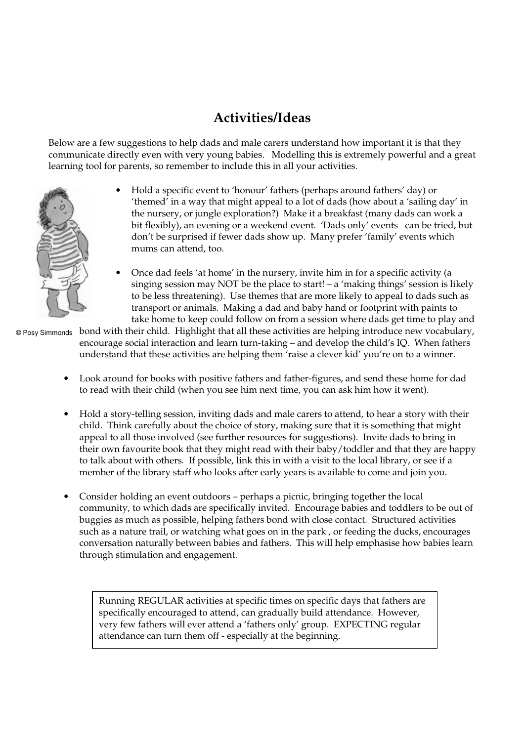# **Activities/Ideas**

Below are a few suggestions to help dads and male carers understand how important it is that they communicate directly even with very young babies. Modelling this is extremely powerful and a great learning tool for parents, so remember to include this in all your activities.

- Hold a specific event to 'honour' fathers (perhaps around fathers' day) or 'themed' in a way that might appeal to a lot of dads (how about a 'sailing day' in the nursery, or jungle exploration?) Make it a breakfast (many dads can work a bit flexibly), an evening or a weekend event. 'Dads only' events can be tried, but don't be surprised if fewer dads show up. Many prefer 'family' events which mums can attend, too.
- Once dad feels 'at home' in the nursery, invite him in for a specific activity (a singing session may NOT be the place to start!  $- a$  'making things' session is likely to be less threatening). Use themes that are more likely to appeal to dads such as transport or animals. Making a dad and baby hand or footprint with paints to take home to keep could follow on from a session where dads get time to play and

© Posy Simmonds  $\,$  bond with their child. Highlight that all these activities are helping introduce new vocabulary,  $\,$ encourage social interaction and learn turn-taking – and develop the child's IQ. When fathers understand that these activities are helping them 'raise a clever kid' you're on to a winner.

- Look around for books with positive fathers and father-figures, and send these home for dad to read with their child (when you see him next time, you can ask him how it went).
- Hold a story-telling session, inviting dads and male carers to attend, to hear a story with their child. Think carefully about the choice of story, making sure that it is something that might appeal to all those involved (see further resources for suggestions). Invite dads to bring in their own favourite book that they might read with their baby/toddler and that they are happy to talk about with others. If possible, link this in with a visit to the local library, or see if a member of the library staff who looks after early years is available to come and join you.
- Consider holding an event outdoors perhaps a picnic, bringing together the local community, to which dads are specifically invited. Encourage babies and toddlers to be out of buggies as much as possible, helping fathers bond with close contact. Structured activities such as a nature trail, or watching what goes on in the park , or feeding the ducks, encourages conversation naturally between babies and fathers. This will help emphasise how babies learn through stimulation and engagement.

specifically encouraged to attend, can gradually build attendance. However,<br>specifically encouraged to attend of them enly encourage EXPECTIMG would a Running REGULAR activities at specific times on specific days that fathers are very few fathers will ever attend a 'fathers only' group. EXPECTING regular attendance can turn them off - especially at the beginning.

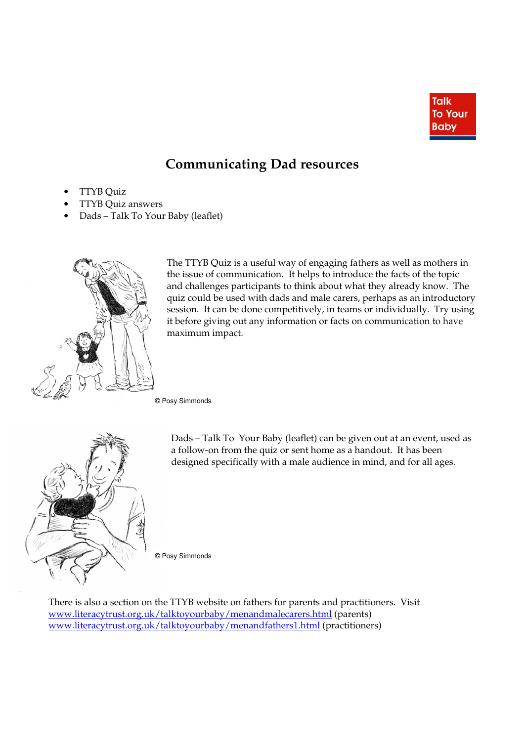

### **Communicating Dad resources**

- TTYB Quiz
- TTYB Quiz answers
- Dads Talk To Your Baby (leaflet)



The TTYB Quiz is a useful way of engaging fathers as well as mothers in the issue of communication. It helps to introduce the facts of the topic and challenges participants to think about what they already know. The quiz could be used with dads and male carers, perhaps as an introductory session. It can be done competitively, in teams or individually. Try using it before giving out any information or facts on communication to have maximum impact.

© Posy Simmonds



Dads – Talk To Your Baby (leaflet) can be given out at an event, used as a follow-on from the quiz or sent home as a handout. It has been designed specifically with a male audience in mind, and for all ages.

© Posy Simmonds

There is also a section on the TTYB website on fathers for parents and practitioners. Visit www.literacytrust.org.uk/talktoyourbaby/menandmalecarers.html (parents) www.literacytrust.org.uk/talktoyourbaby/menandfathers1.html (practitioners)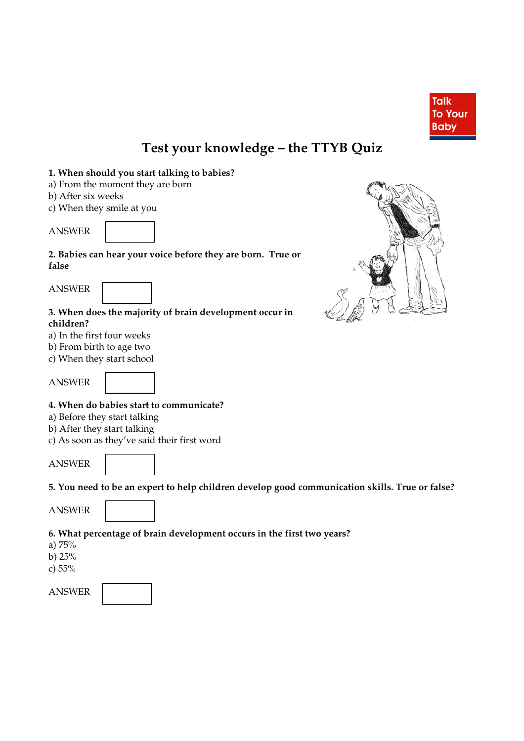

# **Test your knowledge – the TTYB Quiz**

#### **1. When should you start talking to babies?**

- a) From the moment they are born
- b) After six weeks
- c) When they smile at you

ANSWER

**2. Babies can hear your voice before they are born. True or false** 





**3. When does the majority of brain development occur in children?** 

- a) In the first four weeks
- b) From birth to age two
- c) When they start school



ANSWER



### **4. When do babies start to communicate?**

- a) Before they start talking
- b) After they start talking
- c) As soon as they've said their first word

ANSWER

**5. You need to be an expert to help children develop good communication skills. True or false?** 

ANSWER



### **6. What percentage of brain development occurs in the first two years?**

- a) 75%
- b) 25%
- c) 55%

ANSWER

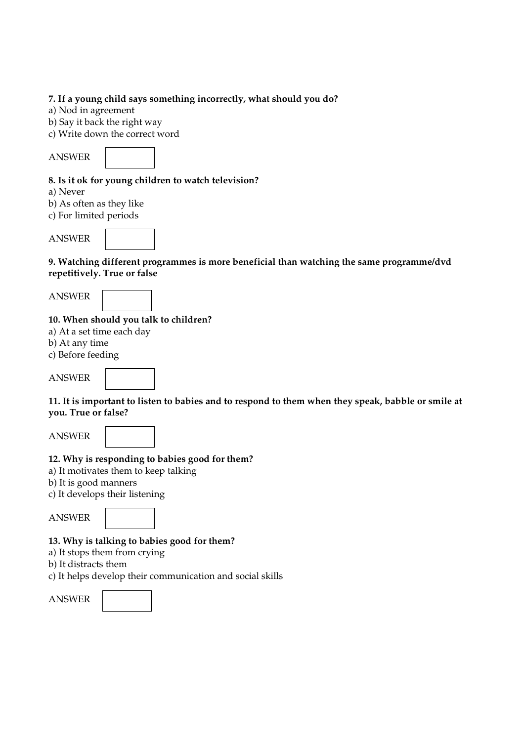#### **7. If a young child says something incorrectly, what should you do?**

a) Nod in agreement

b) Say it back the right way

c) Write down the correct word

ANSWER



### **8. Is it ok for young children to watch television?**

a) Never

b) As often as they like

c) For limited periods

ANSWER



**9. Watching different programmes is more beneficial than watching the same programme/dvd repetitively. True or false** 

ANSWER

### **10. When should you talk to children?**

a) At a set time each day

b) At any time

c) Before feeding

ANSWER



**11. It is important to listen to babies and to respond to them when they speak, babble or smile at you. True or false?** 

ANSWER



### **12. Why is responding to babies good for them?**

a) It motivates them to keep talking

b) It is good manners

c) It develops their listening

ANSWER



### **13. Why is talking to babies good for them?**

a) It stops them from crying

b) It distracts them

c) It helps develop their communication and social skills

ANSWER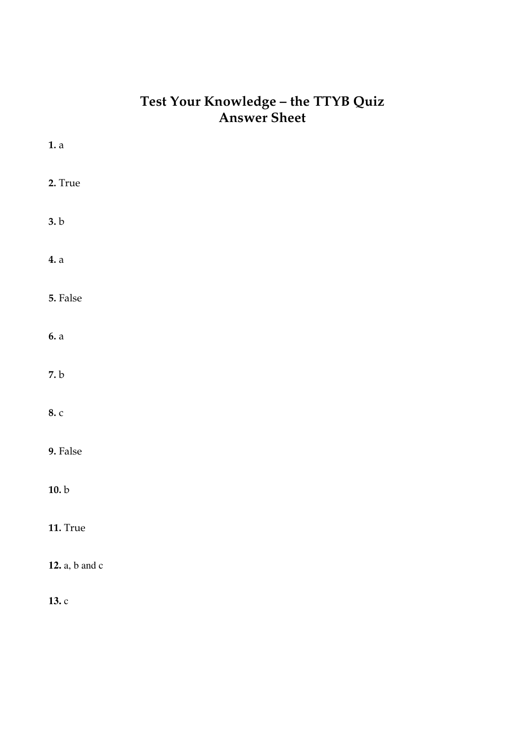### **Test Your Knowledge – the TTYB Quiz Answer Sheet**

| 1. a           |  |  |
|----------------|--|--|
| 2. True        |  |  |
| 3.b            |  |  |
| 4. a           |  |  |
| 5. False       |  |  |
| 6. a           |  |  |
| 7. b           |  |  |
| 8. c           |  |  |
| 9. False       |  |  |
| 10. b          |  |  |
| 11. True       |  |  |
| 12. a, b and c |  |  |
| 13.c           |  |  |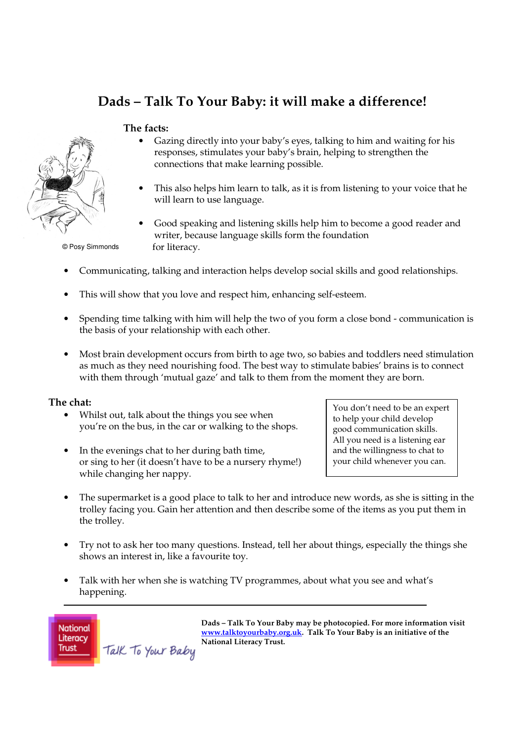# **Dads – Talk To Your Baby: it will make a difference!**

#### **The facts:**



© Posy Simmonds

- Gazing directly into your baby's eyes, talking to him and waiting for his responses, stimulates your baby's brain, helping to strengthen the connections that make learning possible.
- This also helps him learn to talk, as it is from listening to your voice that he will learn to use language.
- Good speaking and listening skills help him to become a good reader and writer, because language skills form the foundation for literacy.
- Communicating, talking and interaction helps develop social skills and good relationships.
- This will show that you love and respect him, enhancing self-esteem.
- Spending time talking with him will help the two of you form a close bond communication is the basis of your relationship with each other.
- Most brain development occurs from birth to age two, so babies and toddlers need stimulation as much as they need nourishing food. The best way to stimulate babies' brains is to connect with them through 'mutual gaze' and talk to them from the moment they are born.

#### **The chat:**

- Whilst out, talk about the things you see when you're on the bus, in the car or walking to the shops.
- In the evenings chat to her during bath time, or sing to her (it doesn't have to be a nursery rhyme!) while changing her nappy.

You don't need to be an expert to help your child develop good communication skills. All you need is a listening ear and the willingness to chat to your child whenever you can.

- The supermarket is a good place to talk to her and introduce new words, as she is sitting in the trolley facing you. Gain her attention and then describe some of the items as you put them in the trolley.
- Try not to ask her too many questions. Instead, tell her about things, especially the things she shows an interest in, like a favourite toy.
- Talk with her when she is watching TV programmes, about what you see and what's happening.



**Dads – Talk To Your Baby may be photocopied. For more information visit www.talktoyourbaby.org.uk. Talk To Your Baby is an initiative of the National Literacy Trust.**